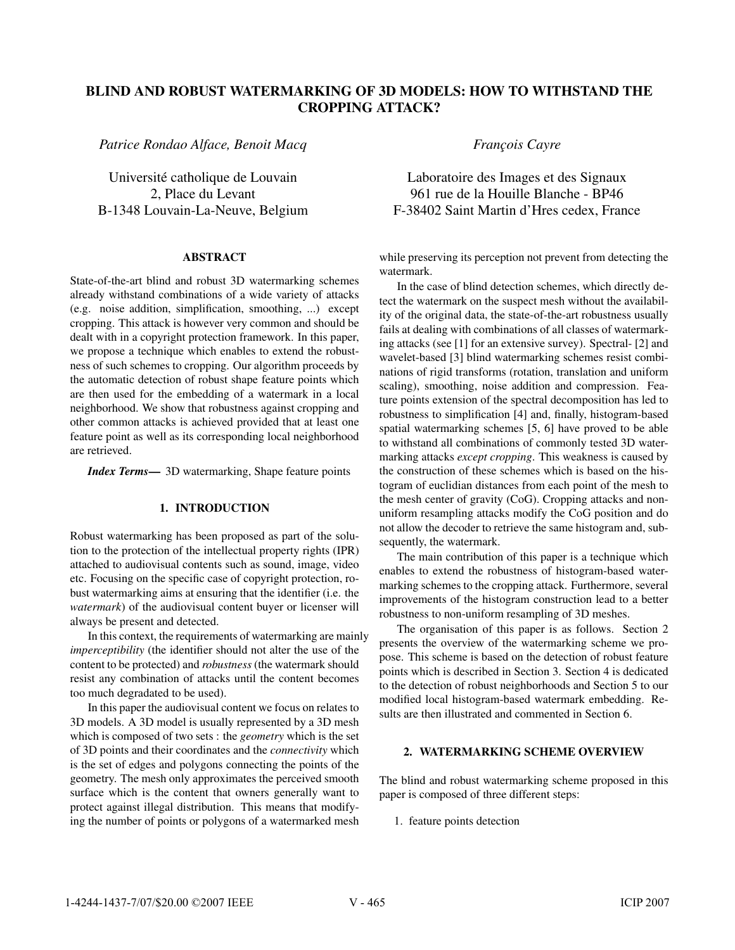# BLIND AND ROBUST WATERMARKING OF 3D MODELS: HOW TO WITHSTAND THE CROPPING ATTACK?

*Patrice Rondao Alface, Benoit Macq*

Université catholique de Louvain 2, Place du Levant B-1348 Louvain-La-Neuve, Belgium

## ABSTRACT

State-of-the-art blind and robust 3D watermarking schemes already withstand combinations of a wide variety of attacks (e.g. noise addition, simplification, smoothing, ...) except cropping. This attack is however very common and should be dealt with in a copyright protection framework. In this paper, we propose a technique which enables to extend the robustness of such schemes to cropping. Our algorithm proceeds by the automatic detection of robust shape feature points which are then used for the embedding of a watermark in a local neighborhood. We show that robustness against cropping and other common attacks is achieved provided that at least one feature point as well as its corresponding local neighborhood are retrieved.

*Index Terms*— 3D watermarking, Shape feature points

## 1. INTRODUCTION

Robust watermarking has been proposed as part of the solution to the protection of the intellectual property rights (IPR) attached to audiovisual contents such as sound, image, video etc. Focusing on the specific case of copyright protection, robust watermarking aims at ensuring that the identifier (i.e. the *watermark*) of the audiovisual content buyer or licenser will always be present and detected.

In this context, the requirements of watermarking are mainly *imperceptibility* (the identifier should not alter the use of the content to be protected) and *robustness* (the watermark should resist any combination of attacks until the content becomes too much degradated to be used).

In this paper the audiovisual content we focus on relates to 3D models. A 3D model is usually represented by a 3D mesh which is composed of two sets : the *geometry* which is the set of 3D points and their coordinates and the *connectivity* which is the set of edges and polygons connecting the points of the geometry. The mesh only approximates the perceived smooth surface which is the content that owners generally want to protect against illegal distribution. This means that modifying the number of points or polygons of a watermarked mesh *Franc¸ois Cayre*

Laboratoire des Images et des Signaux 961 rue de la Houille Blanche - BP46 F-38402 Saint Martin d'Hres cedex, France

while preserving its perception not prevent from detecting the watermark.

In the case of blind detection schemes, which directly detect the watermark on the suspect mesh without the availability of the original data, the state-of-the-art robustness usually fails at dealing with combinations of all classes of watermarking attacks (see [1] for an extensive survey). Spectral- [2] and wavelet-based [3] blind watermarking schemes resist combinations of rigid transforms (rotation, translation and uniform scaling), smoothing, noise addition and compression. Feature points extension of the spectral decomposition has led to robustness to simplification [4] and, finally, histogram-based spatial watermarking schemes [5, 6] have proved to be able to withstand all combinations of commonly tested 3D watermarking attacks *except cropping*. This weakness is caused by the construction of these schemes which is based on the histogram of euclidian distances from each point of the mesh to the mesh center of gravity (CoG). Cropping attacks and nonuniform resampling attacks modify the CoG position and do not allow the decoder to retrieve the same histogram and, subsequently, the watermark.

The main contribution of this paper is a technique which enables to extend the robustness of histogram-based watermarking schemes to the cropping attack. Furthermore, several improvements of the histogram construction lead to a better robustness to non-uniform resampling of 3D meshes.

The organisation of this paper is as follows. Section 2 presents the overview of the watermarking scheme we propose. This scheme is based on the detection of robust feature points which is described in Section 3. Section 4 is dedicated to the detection of robust neighborhoods and Section 5 to our modified local histogram-based watermark embedding. Results are then illustrated and commented in Section 6.

## 2. WATERMARKING SCHEME OVERVIEW

The blind and robust watermarking scheme proposed in this paper is composed of three different steps:

1. feature points detection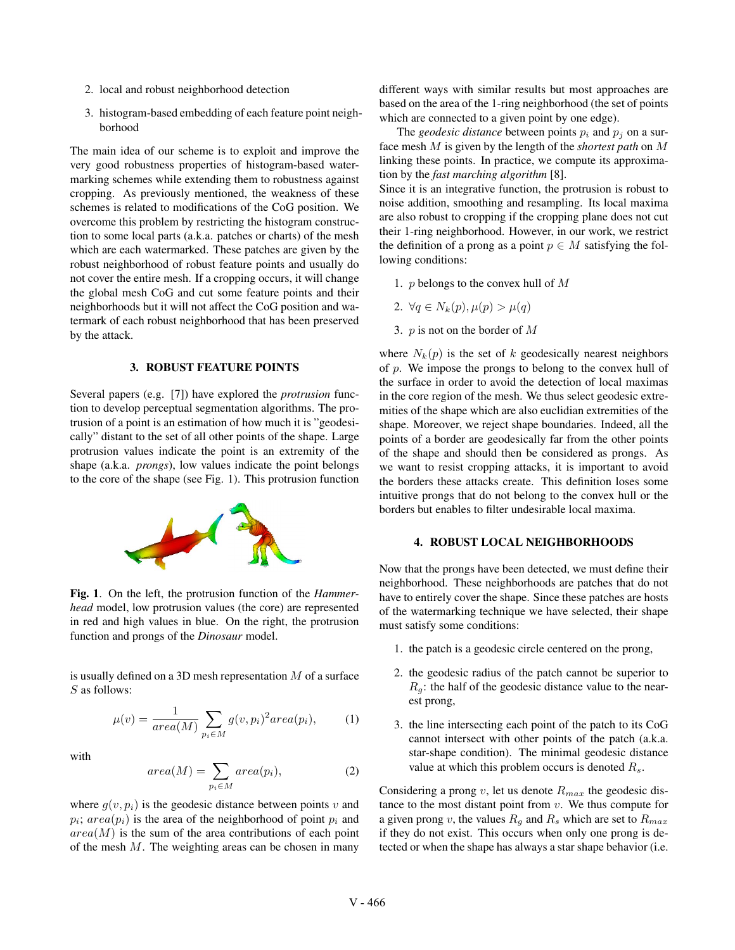- 2. local and robust neighborhood detection
- 3. histogram-based embedding of each feature point neighborhood

The main idea of our scheme is to exploit and improve the very good robustness properties of histogram-based watermarking schemes while extending them to robustness against cropping. As previously mentioned, the weakness of these schemes is related to modifications of the CoG position. We overcome this problem by restricting the histogram construction to some local parts (a.k.a. patches or charts) of the mesh which are each watermarked. These patches are given by the robust neighborhood of robust feature points and usually do not cover the entire mesh. If a cropping occurs, it will change the global mesh CoG and cut some feature points and their neighborhoods but it will not affect the CoG position and watermark of each robust neighborhood that has been preserved by the attack.

#### 3. ROBUST FEATURE POINTS

Several papers (e.g. [7]) have explored the *protrusion* function to develop perceptual segmentation algorithms. The protrusion of a point is an estimation of how much it is "geodesically" distant to the set of all other points of the shape. Large protrusion values indicate the point is an extremity of the shape (a.k.a. *prongs*), low values indicate the point belongs to the core of the shape (see Fig. 1). This protrusion function



Fig. 1. On the left, the protrusion function of the *Hammerhead* model, low protrusion values (the core) are represented in red and high values in blue. On the right, the protrusion function and prongs of the *Dinosaur* model.

is usually defined on a 3D mesh representation M of a surface S as follows:

$$
\mu(v) = \frac{1}{area(M)} \sum_{p_i \in M} g(v, p_i)^2 area(p_i), \qquad (1)
$$

with

$$
area(M) = \sum_{p_i \in M} area(p_i), \qquad (2)
$$

where  $g(v, p_i)$  is the geodesic distance between points v and  $p_i$ ;  $area(p_i)$  is the area of the neighborhood of point  $p_i$  and  $area(M)$  is the sum of the area contributions of each point of the mesh  $M$ . The weighting areas can be chosen in many different ways with similar results but most approaches are based on the area of the 1-ring neighborhood (the set of points which are connected to a given point by one edge).

The *geodesic distance* between points  $p_i$  and  $p_j$  on a surface mesh M is given by the length of the *shortest path* on M linking these points. In practice, we compute its approximation by the *fast marching algorithm* [8].

Since it is an integrative function, the protrusion is robust to noise addition, smoothing and resampling. Its local maxima are also robust to cropping if the cropping plane does not cut their 1-ring neighborhood. However, in our work, we restrict the definition of a prong as a point  $p \in M$  satisfying the following conditions:

- 1.  $p$  belongs to the convex hull of  $M$
- 2.  $\forall q \in N_k(p), \mu(p) > \mu(q)$
- 3.  $p$  is not on the border of  $M$

where  $N_k(p)$  is the set of k geodesically nearest neighbors of  $p$ . We impose the prongs to belong to the convex hull of the surface in order to avoid the detection of local maximas in the core region of the mesh. We thus select geodesic extremities of the shape which are also euclidian extremities of the shape. Moreover, we reject shape boundaries. Indeed, all the points of a border are geodesically far from the other points of the shape and should then be considered as prongs. As we want to resist cropping attacks, it is important to avoid the borders these attacks create. This definition loses some intuitive prongs that do not belong to the convex hull or the borders but enables to filter undesirable local maxima.

## 4. ROBUST LOCAL NEIGHBORHOODS

Now that the prongs have been detected, we must define their neighborhood. These neighborhoods are patches that do not have to entirely cover the shape. Since these patches are hosts of the watermarking technique we have selected, their shape must satisfy some conditions:

- 1. the patch is a geodesic circle centered on the prong,
- 2. the geodesic radius of the patch cannot be superior to  $R_g$ : the half of the geodesic distance value to the nearest prong,
- 3. the line intersecting each point of the patch to its CoG cannot intersect with other points of the patch (a.k.a. star-shape condition). The minimal geodesic distance value at which this problem occurs is denoted  $R_s$ .

Considering a prong  $v$ , let us denote  $R_{max}$  the geodesic distance to the most distant point from  $v$ . We thus compute for a given prong v, the values  $R_q$  and  $R_s$  which are set to  $R_{max}$ if they do not exist. This occurs when only one prong is detected or when the shape has always a star shape behavior (i.e.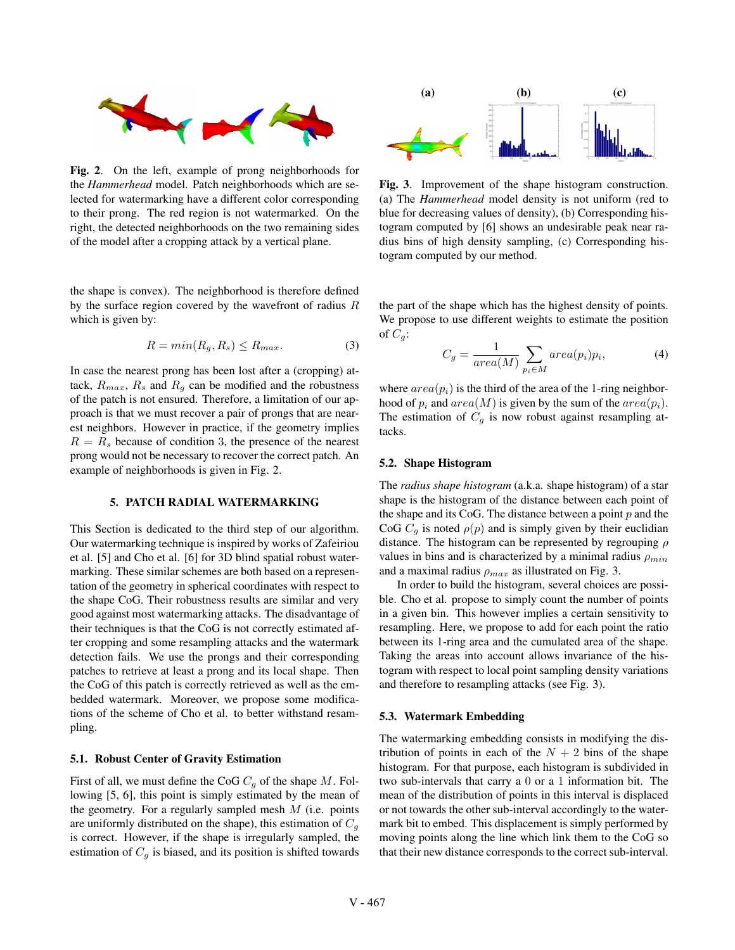

Fig. 2. On the left, example of prong neighborhoods for the *Hammerhead* model. Patch neighborhoods which are selected for watermarking have a different color corresponding to their prong. The red region is not watermarked. On the right, the detected neighborhoods on the two remaining sides of the model after a cropping attack by a vertical plane.

the shape is convex). The neighborhood is therefore defined by the surface region covered by the wavefront of radius R which is given by:

$$
R = \min(R_g, R_s) \le R_{\max}.\tag{3}
$$

In case the nearest prong has been lost after a (cropping) attack,  $R_{max}$ ,  $R_s$  and  $R_q$  can be modified and the robustness of the patch is not ensured. Therefore, a limitation of our approach is that we must recover a pair of prongs that are nearest neighbors. However in practice, if the geometry implies  $R = R<sub>s</sub>$  because of condition 3, the presence of the nearest prong would not be necessary to recover the correct patch. An example of neighborhoods is given in Fig. 2.

## 5. PATCH RADIAL WATERMARKING

This Section is dedicated to the third step of our algorithm. Our watermarking technique is inspired by works of Zafeiriou et al. [5] and Cho et al. [6] for 3D blind spatial robust watermarking. These similar schemes are both based on a representation of the geometry in spherical coordinates with respect to the shape CoG. Their robustness results are similar and very good against most watermarking attacks. The disadvantage of their techniques is that the CoG is not correctly estimated after cropping and some resampling attacks and the watermark detection fails. We use the prongs and their corresponding patches to retrieve at least a prong and its local shape. Then the CoG of this patch is correctly retrieved as well as the embedded watermark. Moreover, we propose some modifications of the scheme of Cho et al. to better withstand resampling.

#### 5.1. Robust Center of Gravity Estimation

First of all, we must define the CoG  $C_g$  of the shape M. Following [5, 6], this point is simply estimated by the mean of the geometry. For a regularly sampled mesh  $M$  (i.e. points are uniformly distributed on the shape), this estimation of  $C<sub>q</sub>$ is correct. However, if the shape is irregularly sampled, the estimation of  $C_q$  is biased, and its position is shifted towards



Fig. 3. Improvement of the shape histogram construction. (a) The *Hammerhead* model density is not uniform (red to blue for decreasing values of density), (b) Corresponding histogram computed by [6] shows an undesirable peak near radius bins of high density sampling, (c) Corresponding histogram computed by our method.

the part of the shape which has the highest density of points. We propose to use different weights to estimate the position of  $C_a$ :

$$
C_g = \frac{1}{area(M)} \sum_{p_i \in M} area(p_i)p_i,
$$
 (4)

where  $area(p_i)$  is the third of the area of the 1-ring neighborhood of  $p_i$  and  $area(M)$  is given by the sum of the  $area(p_i)$ . The estimation of  $C<sub>g</sub>$  is now robust against resampling attacks.

#### 5.2. Shape Histogram

The *radius shape histogram* (a.k.a. shape histogram) of a star shape is the histogram of the distance between each point of the shape and its CoG. The distance between a point  $p$  and the CoG  $C_a$  is noted  $\rho(p)$  and is simply given by their euclidian distance. The histogram can be represented by regrouping  $\rho$ values in bins and is characterized by a minimal radius  $\rho_{min}$ and a maximal radius  $\rho_{max}$  as illustrated on Fig. 3.

In order to build the histogram, several choices are possible. Cho et al. propose to simply count the number of points in a given bin. This however implies a certain sensitivity to resampling. Here, we propose to add for each point the ratio between its 1-ring area and the cumulated area of the shape. Taking the areas into account allows invariance of the histogram with respect to local point sampling density variations and therefore to resampling attacks (see Fig. 3).

#### 5.3. Watermark Embedding

The watermarking embedding consists in modifying the distribution of points in each of the  $N + 2$  bins of the shape histogram. For that purpose, each histogram is subdivided in two sub-intervals that carry a 0 or a 1 information bit. The mean of the distribution of points in this interval is displaced or not towards the other sub-interval accordingly to the watermark bit to embed. This displacement is simply performed by moving points along the line which link them to the CoG so that their new distance corresponds to the correct sub-interval.